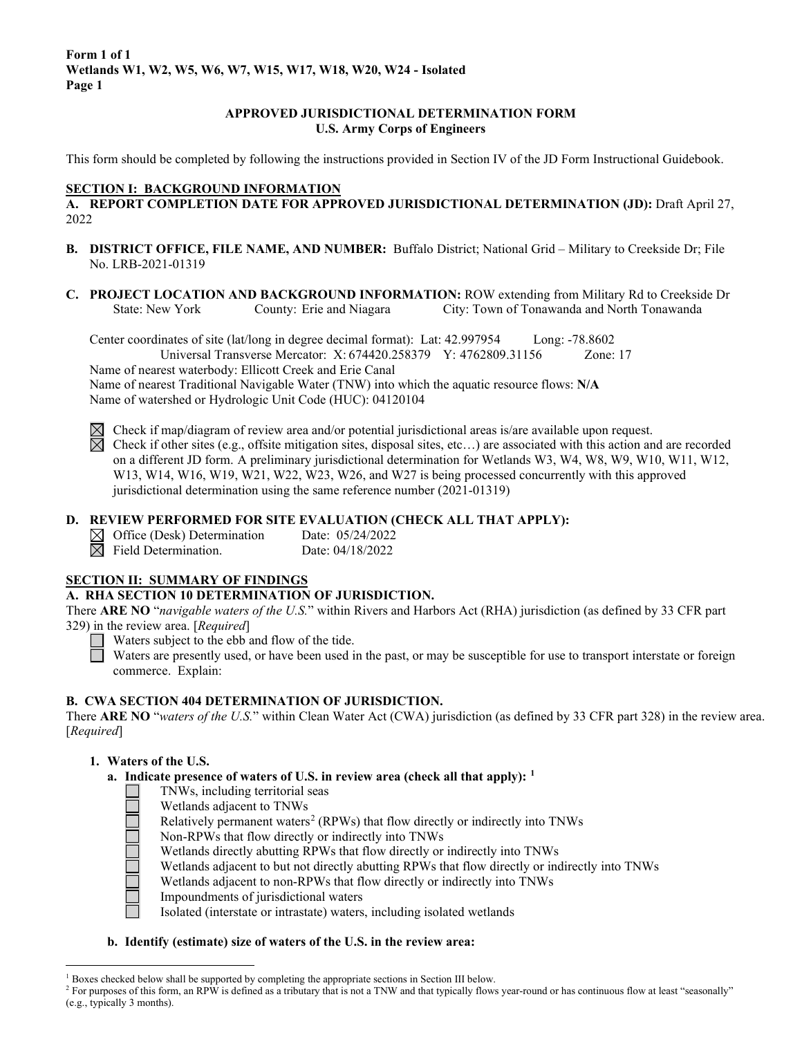### **APPROVED JURISDICTIONAL DETERMINATION FORM U.S. Army Corps of Engineers**

This form should be completed by following the instructions provided in Section IV of the JD Form Instructional Guidebook.

#### **SECTION I: BACKGROUND INFORMATION**

**A. REPORT COMPLETION DATE FOR APPROVED JURISDICTIONAL DETERMINATION (JD):** Draft April 27, 2022

- **B. DISTRICT OFFICE, FILE NAME, AND NUMBER:** Buffalo District; National Grid Military to Creekside Dr; File No. LRB-2021-01319
- **C. PROJECT LOCATION AND BACKGROUND INFORMATION:** ROW extending from Military Rd to Creekside Dr State: New York County: Erie and Niagara City: Town of Tonawanda and North Tonawanda

Center coordinates of site (lat/long in degree decimal format): Lat: 42.997954 Long: -78.8602 Universal Transverse Mercator: X: 674420.258379 Y: 4762809.31156 Zone: 17 Name of nearest waterbody: Ellicott Creek and Erie Canal

Name of nearest Traditional Navigable Water (TNW) into which the aquatic resource flows: **N/A** Name of watershed or Hydrologic Unit Code (HUC): 04120104

 $\boxtimes$  Check if map/diagram of review area and/or potential jurisdictional areas is/are available upon request.

 $\boxtimes$  Check if other sites (e.g., offsite mitigation sites, disposal sites, etc...) are associated with this action and are recorded on a different JD form. A preliminary jurisdictional determination for Wetlands W3, W4, W8, W9, W10, W11, W12, W13, W14, W16, W19, W21, W22, W23, W26, and W27 is being processed concurrently with this approved jurisdictional determination using the same reference number (2021-01319)

### **D. REVIEW PERFORMED FOR SITE EVALUATION (CHECK ALL THAT APPLY):**

 $\boxtimes$  Office (Desk) Determination Date: 05/24/2022  $\boxtimes$  Field Determination. Date: 04/18/2022

### **SECTION II: SUMMARY OF FINDINGS**

#### **A. RHA SECTION 10 DETERMINATION OF JURISDICTION.**

There **ARE NO** "*navigable waters of the U.S.*" within Rivers and Harbors Act (RHA) jurisdiction (as defined by 33 CFR part 329) in the review area. [*Required*]

Waters subject to the ebb and flow of the tide.

Waters are presently used, or have been used in the past, or may be susceptible for use to transport interstate or foreign commerce. Explain:

### **B. CWA SECTION 404 DETERMINATION OF JURISDICTION.**

There **ARE NO** "*waters of the U.S.*" within Clean Water Act (CWA) jurisdiction (as defined by 33 CFR part 328) in the review area. [*Required*]

### **1. Waters of the U.S.**

- **a. Indicate presence of waters of U.S. in review area (check all that apply): [1](#page-0-0)**
	- TNWs, including territorial seas
	- Wetlands adjacent to TNWs
	- Relatively permanent waters<sup>[2](#page-0-1)</sup> (RPWs) that flow directly or indirectly into TNWs
	- Non-RPWs that flow directly or indirectly into TNWs
	- Wetlands directly abutting RPWs that flow directly or indirectly into TNWs
	- Wetlands adjacent to but not directly abutting RPWs that flow directly or indirectly into TNWs
	- Wetlands adjacent to non-RPWs that flow directly or indirectly into TNWs
	- Impoundments of jurisdictional waters
		- Isolated (interstate or intrastate) waters, including isolated wetlands

### **b. Identify (estimate) size of waters of the U.S. in the review area:**

<span id="page-0-0"></span> $1$  Boxes checked below shall be supported by completing the appropriate sections in Section III below.

<span id="page-0-1"></span><sup>&</sup>lt;sup>2</sup> For purposes of this form, an RPW is defined as a tributary that is not a TNW and that typically flows year-round or has continuous flow at least "seasonally" (e.g., typically 3 months).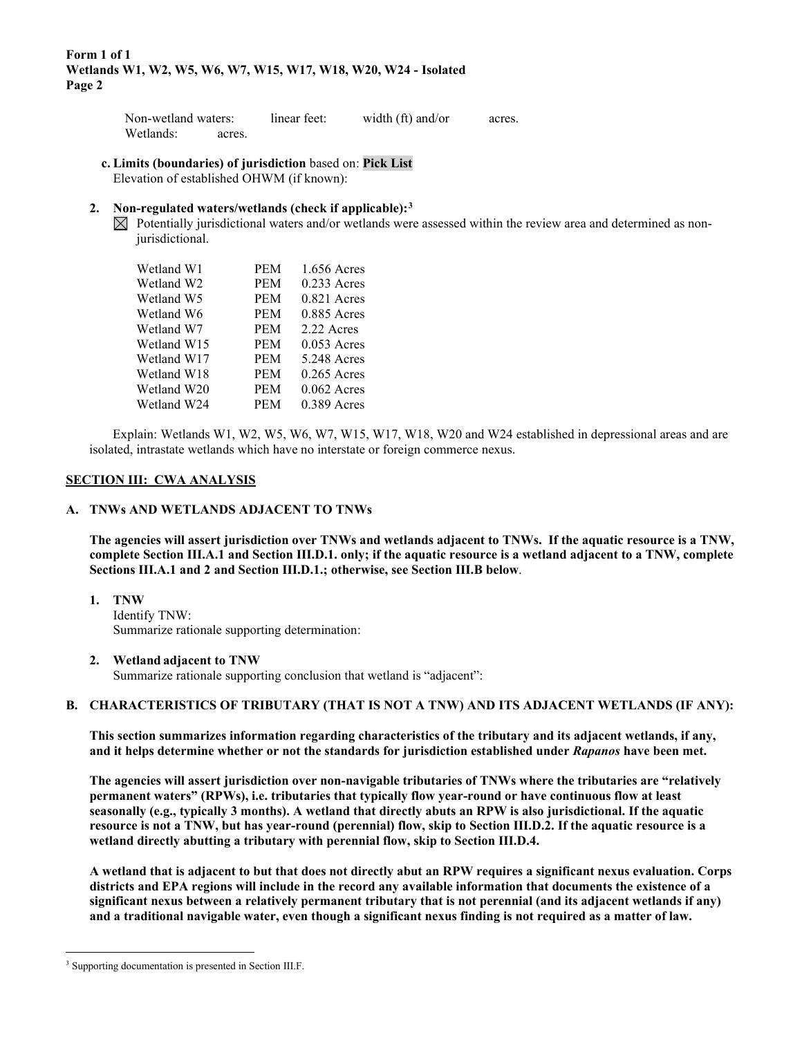| Non-wetland waters: |        | linear feet: | width (ft) and/or | acres. |  |
|---------------------|--------|--------------|-------------------|--------|--|
| Wetlands:           | acres. |              |                   |        |  |

#### **c. Limits (boundaries) of jurisdiction** based on: **Pick List** Elevation of established OHWM (if known):

#### **2. Non-regulated waters/wetlands (check if applicable):[3](#page-1-0)**

 $\boxtimes$  Potentially jurisdictional waters and/or wetlands were assessed within the review area and determined as nonjurisdictional.

| Wetland W1  | <b>PEM</b> | 1.656 Acres   |
|-------------|------------|---------------|
| Wetland W2  | <b>PEM</b> | $0.233$ Acres |
| Wetland W5  | <b>PEM</b> | $0.821$ Acres |
| Wetland W6  | <b>PEM</b> | $0.885$ Acres |
| Wetland W7  | <b>PEM</b> | 2.22 Acres    |
| Wetland W15 | <b>PEM</b> | $0.053$ Acres |
| Wetland W17 | <b>PEM</b> | 5.248 Acres   |
| Wetland W18 | <b>PEM</b> | $0.265$ Acres |
| Wetland W20 | <b>PEM</b> | $0.062$ Acres |
| Wetland W24 | PEM        | $0.389$ Acres |

 Explain: Wetlands W1, W2, W5, W6, W7, W15, W17, W18, W20 and W24 established in depressional areas and are isolated, intrastate wetlands which have no interstate or foreign commerce nexus.

#### **SECTION III: CWA ANALYSIS**

#### **A. TNWs AND WETLANDS ADJACENT TO TNWs**

**The agencies will assert jurisdiction over TNWs and wetlands adjacent to TNWs. If the aquatic resource is a TNW, complete Section III.A.1 and Section III.D.1. only; if the aquatic resource is a wetland adjacent to a TNW, complete Sections III.A.1 and 2 and Section III.D.1.; otherwise, see Section III.B below**.

#### **1. TNW**

 Identify TNW: Summarize rationale supporting determination:

#### **2. Wetland adjacent to TNW**

Summarize rationale supporting conclusion that wetland is "adjacent":

#### **B. CHARACTERISTICS OF TRIBUTARY (THAT IS NOT A TNW) AND ITS ADJACENT WETLANDS (IF ANY):**

 **This section summarizes information regarding characteristics of the tributary and its adjacent wetlands, if any, and it helps determine whether or not the standards for jurisdiction established under** *Rapanos* **have been met.** 

 **The agencies will assert jurisdiction over non-navigable tributaries of TNWs where the tributaries are "relatively permanent waters" (RPWs), i.e. tributaries that typically flow year-round or have continuous flow at least seasonally (e.g., typically 3 months). A wetland that directly abuts an RPW is also jurisdictional. If the aquatic resource is not a TNW, but has year-round (perennial) flow, skip to Section III.D.2. If the aquatic resource is a wetland directly abutting a tributary with perennial flow, skip to Section III.D.4.** 

**A wetland that is adjacent to but that does not directly abut an RPW requires a significant nexus evaluation. Corps districts and EPA regions will include in the record any available information that documents the existence of a significant nexus between a relatively permanent tributary that is not perennial (and its adjacent wetlands if any) and a traditional navigable water, even though a significant nexus finding is not required as a matter of law.** 

<span id="page-1-0"></span><sup>&</sup>lt;sup>3</sup> Supporting documentation is presented in Section III.F.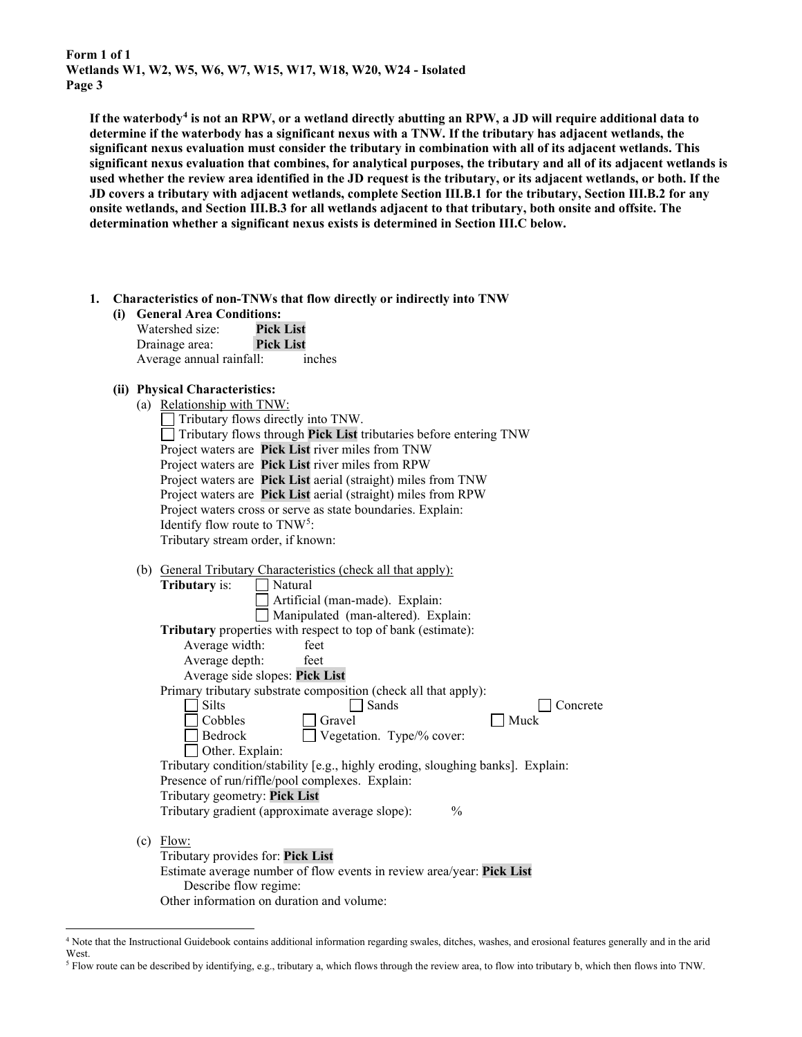**If the waterbody[4](#page-2-0) is not an RPW, or a wetland directly abutting an RPW, a JD will require additional data to determine if the waterbody has a significant nexus with a TNW. If the tributary has adjacent wetlands, the significant nexus evaluation must consider the tributary in combination with all of its adjacent wetlands. This significant nexus evaluation that combines, for analytical purposes, the tributary and all of its adjacent wetlands is used whether the review area identified in the JD request is the tributary, or its adjacent wetlands, or both. If the JD covers a tributary with adjacent wetlands, complete Section III.B.1 for the tributary, Section III.B.2 for any onsite wetlands, and Section III.B.3 for all wetlands adjacent to that tributary, both onsite and offsite. The determination whether a significant nexus exists is determined in Section III.C below.** 

 **1. Characteristics of non-TNWs that flow directly or indirectly into TNW**

| (i) General Area Conditions: |                  |  |  |
|------------------------------|------------------|--|--|
| Watershed size:              | <b>Pick List</b> |  |  |
| Drainage area:               | <b>Pick List</b> |  |  |
| Average annual rainfall:     | inches           |  |  |

## **(ii) Physical Characteristics:**

| (a) Relationship with TNW:                                        |  |  |  |
|-------------------------------------------------------------------|--|--|--|
| Tributary flows directly into TNW.                                |  |  |  |
| Tributary flows through Pick List tributaries before entering TNW |  |  |  |
| Project waters are Pick List river miles from TNW                 |  |  |  |
| Project waters are Pick List river miles from RPW                 |  |  |  |
| Project waters are Pick List aerial (straight) miles from TNW     |  |  |  |
| Project waters are Pick List aerial (straight) miles from RPW     |  |  |  |
| Project waters cross or serve as state boundaries. Explain:       |  |  |  |
| Identify flow route to $TNW5$ :                                   |  |  |  |
| Tributary stream order, if known:                                 |  |  |  |
|                                                                   |  |  |  |

| (b) General Tributary Characteristics (check all that apply): |  |  |  |
|---------------------------------------------------------------|--|--|--|
|                                                               |  |  |  |

| <b>Tributary</b> is:<br>Natural                                                 |
|---------------------------------------------------------------------------------|
| Artificial (man-made). Explain:                                                 |
| Manipulated (man-altered). Explain:                                             |
| <b>Tributary</b> properties with respect to top of bank (estimate):             |
| Average width:<br>feet                                                          |
| Average depth:<br>feet                                                          |
| Average side slopes: Pick List                                                  |
| Primary tributary substrate composition (check all that apply):                 |
| Silts<br>Sands<br>Concrete                                                      |
| Muck<br>Cobbles<br>Gravel                                                       |
| Bedrock<br>Vegetation. Type/% cover:                                            |
| Other. Explain:                                                                 |
| Tributary condition/stability [e.g., highly eroding, sloughing banks]. Explain: |
| Presence of run/riffle/pool complexes. Explain:                                 |
| Tributary geometry: Pick List                                                   |
| $\%$<br>Tributary gradient (approximate average slope):                         |
|                                                                                 |
| Flow:<br>(c)                                                                    |
| Tributary provides for: <b>Pick List</b>                                        |
| Estimate average number of flow events in review area/year: <b>Pick List</b>    |
| Describe flow regime:                                                           |
| Other information on duration and volume:                                       |

<span id="page-2-0"></span><sup>4</sup> Note that the Instructional Guidebook contains additional information regarding swales, ditches, washes, and erosional features generally and in the arid West.

<span id="page-2-1"></span><sup>5</sup> Flow route can be described by identifying, e.g., tributary a, which flows through the review area, to flow into tributary b, which then flows into TNW.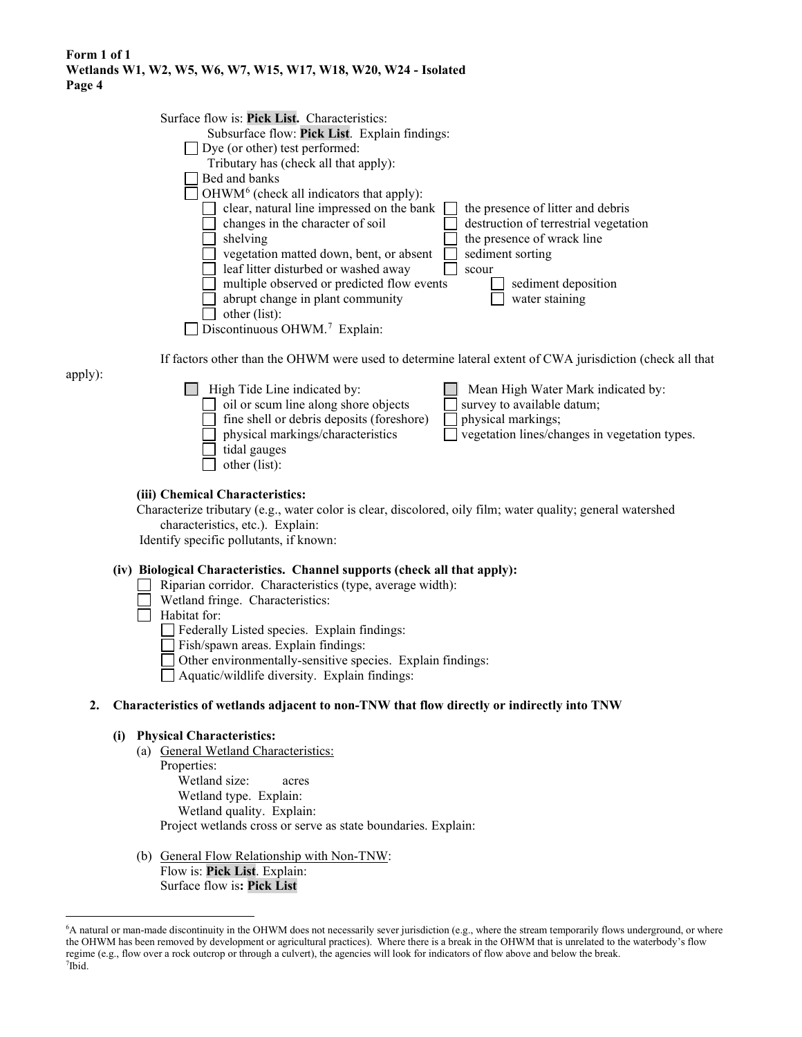| Surface flow is: Pick List. Characteristics:                                                             |                                               |
|----------------------------------------------------------------------------------------------------------|-----------------------------------------------|
| Subsurface flow: Pick List. Explain findings:                                                            |                                               |
| Dye (or other) test performed:                                                                           |                                               |
|                                                                                                          |                                               |
| Tributary has (check all that apply):                                                                    |                                               |
| Bed and banks                                                                                            |                                               |
| $OHWM6$ (check all indicators that apply):                                                               |                                               |
| clear, natural line impressed on the bank                                                                | the presence of litter and debris             |
| changes in the character of soil                                                                         | destruction of terrestrial vegetation         |
| shelving                                                                                                 | the presence of wrack line                    |
|                                                                                                          |                                               |
| vegetation matted down, bent, or absent                                                                  | sediment sorting                              |
| leaf litter disturbed or washed away<br>scour                                                            |                                               |
| multiple observed or predicted flow events                                                               | sediment deposition                           |
| abrupt change in plant community                                                                         | water staining                                |
| other (list):                                                                                            |                                               |
|                                                                                                          |                                               |
| Discontinuous OHWM. <sup>7</sup> Explain:                                                                |                                               |
|                                                                                                          |                                               |
| If factors other than the OHWM were used to determine lateral extent of CWA jurisdiction (check all that |                                               |
| apply):                                                                                                  |                                               |
| High Tide Line indicated by:                                                                             | Mean High Water Mark indicated by:            |
| oil or scum line along shore objects                                                                     | survey to available datum;                    |
| fine shell or debris deposits (foreshore)                                                                | physical markings;                            |
|                                                                                                          |                                               |
| physical markings/characteristics                                                                        | vegetation lines/changes in vegetation types. |
| tidal gauges                                                                                             |                                               |
| other (list):                                                                                            |                                               |

#### **(iii) Chemical Characteristics:**

Characterize tributary (e.g., water color is clear, discolored, oily film; water quality; general watershed characteristics, etc.). Explain:

Identify specific pollutants, if known:

## **(iv) Biological Characteristics. Channel supports (check all that apply):**

- Riparian corridor. Characteristics (type, average width):
- Wetland fringe. Characteristics:
- $\Box$  Habitat for:

apply):

Federally Listed species. Explain findings:

Fish/spawn areas. Explain findings:

Other environmentally-sensitive species. Explain findings:

Aquatic/wildlife diversity. Explain findings:

### **2. Characteristics of wetlands adjacent to non-TNW that flow directly or indirectly into TNW**

#### **(i) Physical Characteristics:**

(a) General Wetland Characteristics:

Properties: Wetland size: acres Wetland type. Explain: Wetland quality. Explain: Project wetlands cross or serve as state boundaries. Explain:

(b) General Flow Relationship with Non-TNW: Flow is: **Pick List**. Explain: Surface flow is**: Pick List** 

<span id="page-3-1"></span><span id="page-3-0"></span><sup>6</sup> A natural or man-made discontinuity in the OHWM does not necessarily sever jurisdiction (e.g., where the stream temporarily flows underground, or where the OHWM has been removed by development or agricultural practices). Where there is a break in the OHWM that is unrelated to the waterbody's flow regime (e.g., flow over a rock outcrop or through a culvert), the agencies will look for indicators of flow above and below the break. 7 Ibid.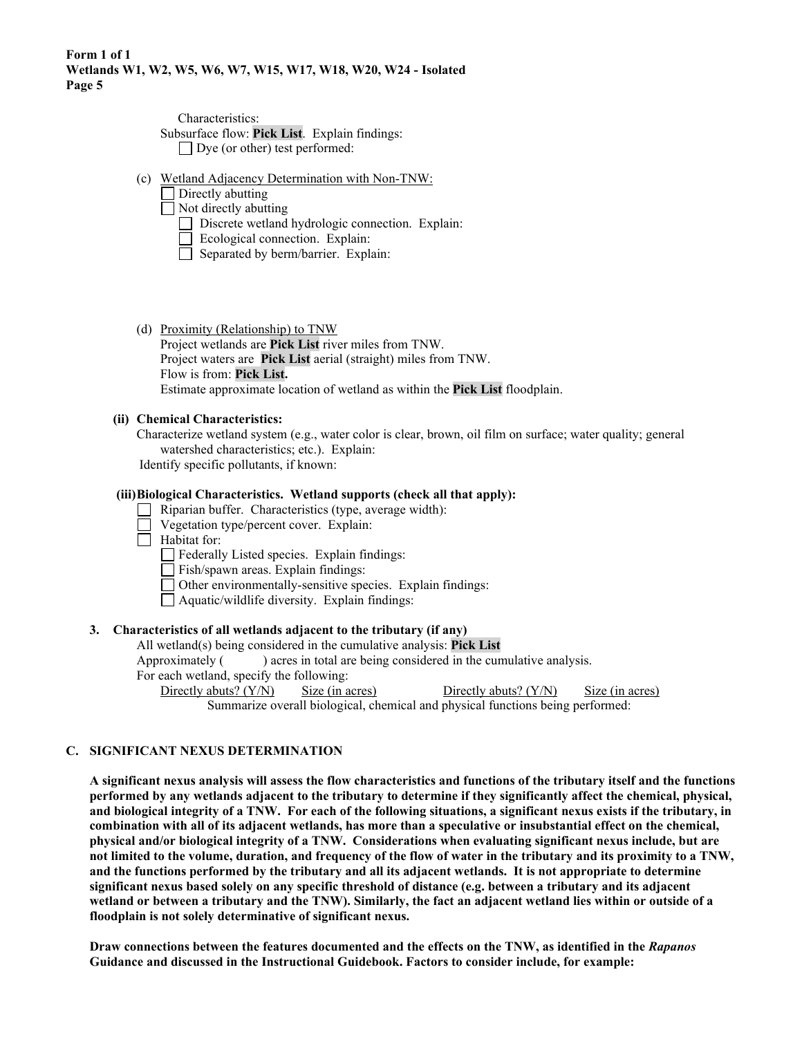Characteristics: Subsurface flow: **Pick List**. Explain findings: Dye (or other) test performed:

- (c) Wetland Adjacency Determination with Non-TNW:
	- Directly abutting
	- Not directly abutting
		- Discrete wetland hydrologic connection. Explain:
		- Ecological connection. Explain:
		- $\Box$  Separated by berm/barrier. Explain:
- (d) Proximity (Relationship) to TNW Project wetlands are **Pick List** river miles from TNW. Project waters are **Pick List** aerial (straight) miles from TNW. Flow is from: **Pick List.** Estimate approximate location of wetland as within the **Pick List** floodplain.

### **(ii) Chemical Characteristics:**

Characterize wetland system (e.g., water color is clear, brown, oil film on surface; water quality; general watershed characteristics; etc.). Explain: Identify specific pollutants, if known:

### **(iii) Biological Characteristics. Wetland supports (check all that apply):**

- Riparian buffer. Characteristics (type, average width):
- Vegetation type/percent cover. Explain:
- $\Box$  Habitat for:
	- Federally Listed species. Explain findings:
	- Fish/spawn areas. Explain findings:
	- Other environmentally-sensitive species. Explain findings:
	- Aquatic/wildlife diversity. Explain findings:

### **3. Characteristics of all wetlands adjacent to the tributary (if any)**

All wetland(s) being considered in the cumulative analysis: **Pick List**

Approximately ( ) acres in total are being considered in the cumulative analysis.

For each wetland, specify the following:

Directly abuts? (Y/N) Size (in acres) Directly abuts? (Y/N) Size (in acres) Summarize overall biological, chemical and physical functions being performed:

### **C. SIGNIFICANT NEXUS DETERMINATION**

**A significant nexus analysis will assess the flow characteristics and functions of the tributary itself and the functions performed by any wetlands adjacent to the tributary to determine if they significantly affect the chemical, physical, and biological integrity of a TNW. For each of the following situations, a significant nexus exists if the tributary, in combination with all of its adjacent wetlands, has more than a speculative or insubstantial effect on the chemical, physical and/or biological integrity of a TNW. Considerations when evaluating significant nexus include, but are not limited to the volume, duration, and frequency of the flow of water in the tributary and its proximity to a TNW, and the functions performed by the tributary and all its adjacent wetlands. It is not appropriate to determine significant nexus based solely on any specific threshold of distance (e.g. between a tributary and its adjacent wetland or between a tributary and the TNW). Similarly, the fact an adjacent wetland lies within or outside of a floodplain is not solely determinative of significant nexus.** 

**Draw connections between the features documented and the effects on the TNW, as identified in the** *Rapanos* **Guidance and discussed in the Instructional Guidebook. Factors to consider include, for example:**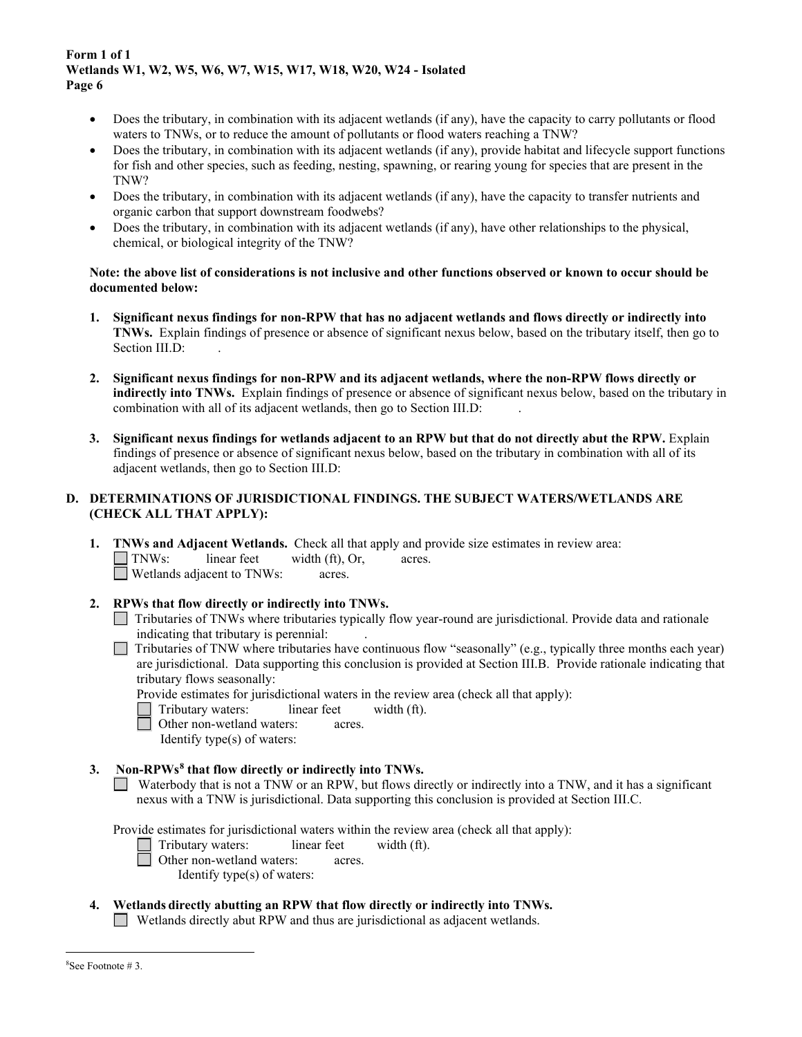- Does the tributary, in combination with its adjacent wetlands (if any), have the capacity to carry pollutants or flood waters to TNWs, or to reduce the amount of pollutants or flood waters reaching a TNW?
- Does the tributary, in combination with its adjacent wetlands (if any), provide habitat and lifecycle support functions for fish and other species, such as feeding, nesting, spawning, or rearing young for species that are present in the TNW?
- Does the tributary, in combination with its adjacent wetlands (if any), have the capacity to transfer nutrients and organic carbon that support downstream foodwebs?
- Does the tributary, in combination with its adjacent wetlands (if any), have other relationships to the physical, chemical, or biological integrity of the TNW?

#### **Note: the above list of considerations is not inclusive and other functions observed or known to occur should be documented below:**

- **1. Significant nexus findings for non-RPW that has no adjacent wetlands and flows directly or indirectly into TNWs.** Explain findings of presence or absence of significant nexus below, based on the tributary itself, then go to Section III.D:
- **2. Significant nexus findings for non-RPW and its adjacent wetlands, where the non-RPW flows directly or indirectly into TNWs.** Explain findings of presence or absence of significant nexus below, based on the tributary in combination with all of its adjacent wetlands, then go to Section III.D:
- **3. Significant nexus findings for wetlands adjacent to an RPW but that do not directly abut the RPW.** Explain findings of presence or absence of significant nexus below, based on the tributary in combination with all of its adjacent wetlands, then go to Section III.D:

## **D. DETERMINATIONS OF JURISDICTIONAL FINDINGS. THE SUBJECT WATERS/WETLANDS ARE (CHECK ALL THAT APPLY):**

- **1. TNWs and Adjacent Wetlands.** Check all that apply and provide size estimates in review area:<br>
TNWs: linear feet width (ft). Or. acres.  $width (ft), Or,$  acres. □ Wetlands adjacent to TNWs: acres.
- **2. RPWs that flow directly or indirectly into TNWs.** 
	- Tributaries of TNWs where tributaries typically flow year-round are jurisdictional. Provide data and rationale indicating that tributary is perennial: .
	- Tributaries of TNW where tributaries have continuous flow "seasonally" (e.g., typically three months each year)  $\Box$ are jurisdictional. Data supporting this conclusion is provided at Section III.B. Provide rationale indicating that tributary flows seasonally:

Provide estimates for jurisdictional waters in the review area (check all that apply):

- Tributary waters:linear feetwidth (ft).
- □ Other non-wetland waters: acres.
	- Identify type(s) of waters:

### **3. Non-RPWs[8](#page-5-0) that flow directly or indirectly into TNWs.**

Waterbody that is not a TNW or an RPW, but flows directly or indirectly into a TNW, and it has a significant nexus with a TNW is jurisdictional. Data supporting this conclusion is provided at Section III.C.

Provide estimates for jurisdictional waters within the review area (check all that apply):

- Tributary waters:linear feetwidth (ft).
- $\Box$  Other non-wetland waters: acres.
	- Identify type(s) of waters:

# **4. Wetlands directly abutting an RPW that flow directly or indirectly into TNWs.**

Wetlands directly abut RPW and thus are jurisdictional as adjacent wetlands.

<span id="page-5-0"></span><sup>8</sup> See Footnote # 3.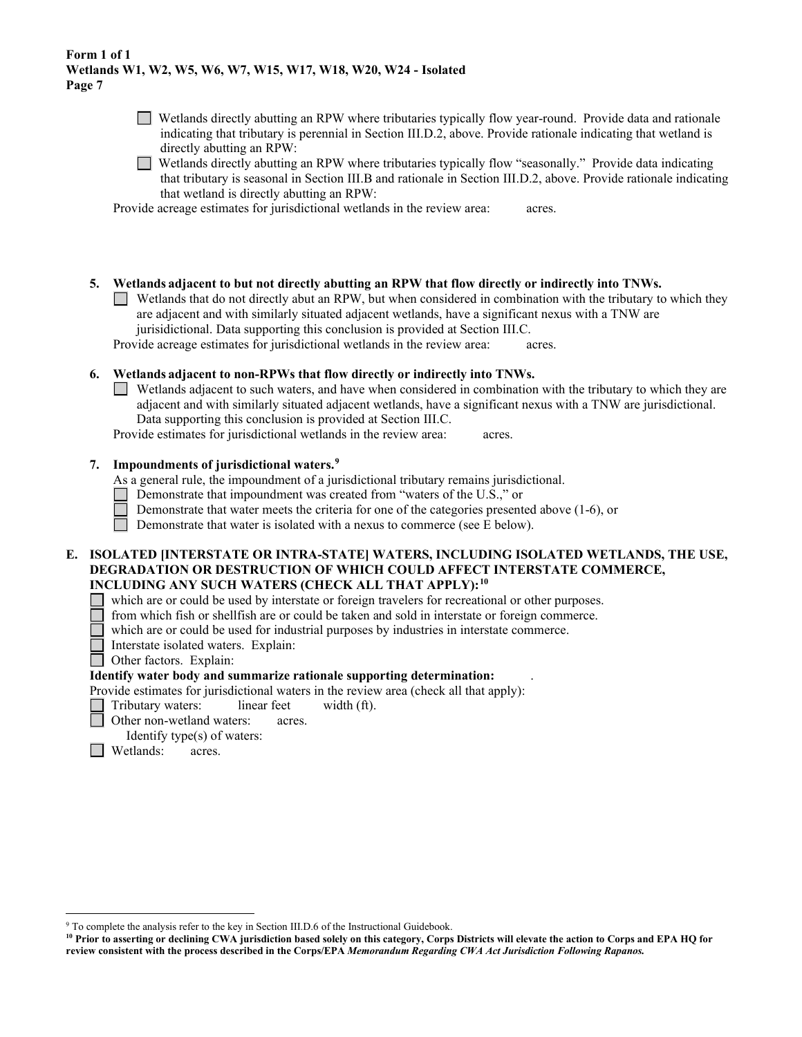- Wetlands directly abutting an RPW where tributaries typically flow year-round. Provide data and rationale indicating that tributary is perennial in Section III.D.2, above. Provide rationale indicating that wetland is directly abutting an RPW:
- Wetlands directly abutting an RPW where tributaries typically flow "seasonally." Provide data indicating that tributary is seasonal in Section III.B and rationale in Section III.D.2, above. Provide rationale indicating that wetland is directly abutting an RPW:

Provide acreage estimates for jurisdictional wetlands in the review area:acres.

- **5. Wetlands adjacent to but not directly abutting an RPW that flow directly or indirectly into TNWs.** 
	- Wetlands that do not directly abut an RPW, but when considered in combination with the tributary to which they are adjacent and with similarly situated adjacent wetlands, have a significant nexus with a TNW are jurisidictional. Data supporting this conclusion is provided at Section III.C.

Provide acreage estimates for jurisdictional wetlands in the review area:acres.

## **6. Wetlands adjacent to non-RPWs that flow directly or indirectly into TNWs.**

Wetlands adjacent to such waters, and have when considered in combination with the tributary to which they are adjacent and with similarly situated adjacent wetlands, have a significant nexus with a TNW are jurisdictional. Data supporting this conclusion is provided at Section III.C.

Provide estimates for jurisdictional wetlands in the review area:acres.

## **7. Impoundments of jurisdictional waters. [9](#page-6-0)**

As a general rule, the impoundment of a jurisdictional tributary remains jurisdictional.

- $\Box$  Demonstrate that impoundment was created from "waters of the U.S.," or
- Demonstrate that water meets the criteria for one of the categories presented above (1-6), or

Demonstrate that water is isolated with a nexus to commerce (see E below).

#### **E. ISOLATED [INTERSTATE OR INTRA-STATE] WATERS, INCLUDING ISOLATED WETLANDS, THE USE, DEGRADATION OR DESTRUCTION OF WHICH COULD AFFECT INTERSTATE COMMERCE, INCLUDING ANY SUCH WATERS (CHECK ALL THAT APPLY):[10](#page-6-1)**

which are or could be used by interstate or foreign travelers for recreational or other purposes.

from which fish or shellfish are or could be taken and sold in interstate or foreign commerce.

which are or could be used for industrial purposes by industries in interstate commerce.

- Interstate isolated waters.Explain:
- Other factors.Explain:

### **Identify water body and summarize rationale supporting determination:** .

Provide estimates for jurisdictional waters in the review area (check all that apply):

- Tributary waters: linear feet width (ft).
- Other non-wetland waters: acres.
	- Identify type(s) of waters:
- **Wetlands:** acres.

<span id="page-6-0"></span><sup>&</sup>lt;sup>9</sup> To complete the analysis refer to the key in Section III.D.6 of the Instructional Guidebook.

<span id="page-6-1"></span>**<sup>10</sup> Prior to asserting or declining CWA jurisdiction based solely on this category, Corps Districts will elevate the action to Corps and EPA HQ for review consistent with the process described in the Corps/EPA** *Memorandum Regarding CWA Act Jurisdiction Following Rapanos.*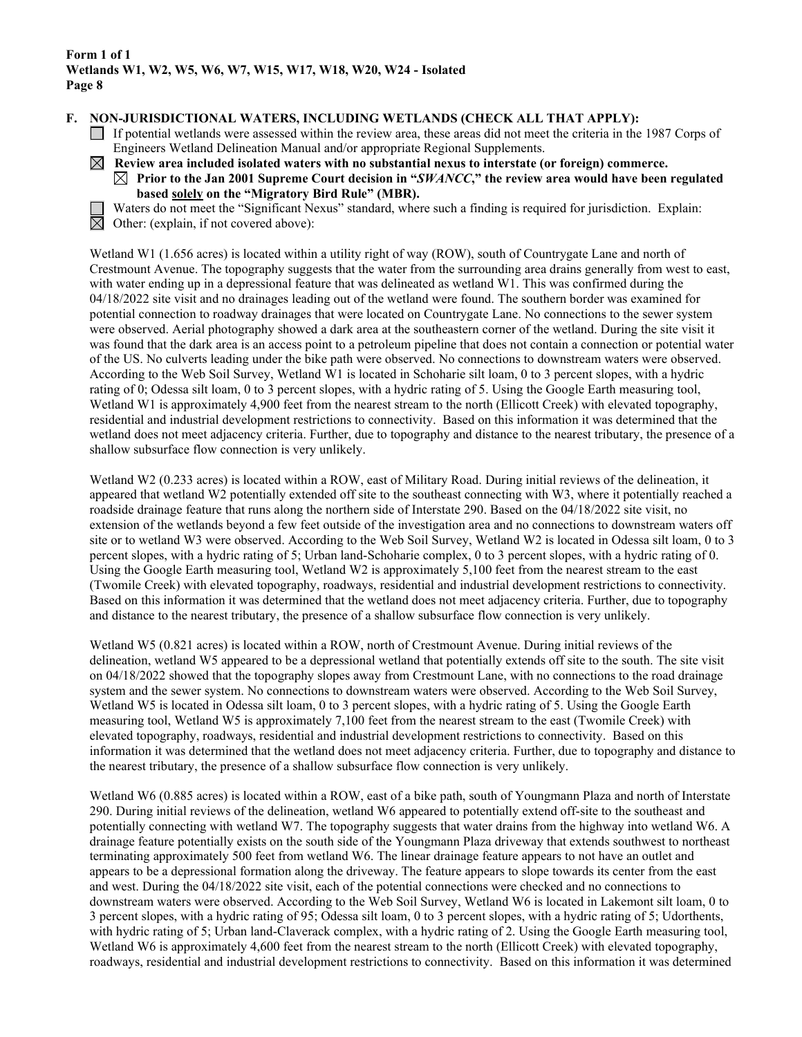#### **F. NON-JURISDICTIONAL WATERS, INCLUDING WETLANDS (CHECK ALL THAT APPLY):**

- If potential wetlands were assessed within the review area, these areas did not meet the criteria in the 1987 Corps of Engineers Wetland Delineation Manual and/or appropriate Regional Supplements.
- $\boxtimes$  Review area included isolated waters with no substantial nexus to interstate (or foreign) commerce.
	- $\boxtimes$  Prior to the Jan 2001 Supreme Court decision in "*SWANCC*," the review area would have been regulated **based solely on the "Migratory Bird Rule" (MBR).**



Waters do not meet the "Significant Nexus" standard, where such a finding is required for jurisdiction. Explain: Other: (explain, if not covered above):

Wetland W1 (1.656 acres) is located within a utility right of way (ROW), south of Countrygate Lane and north of Crestmount Avenue. The topography suggests that the water from the surrounding area drains generally from west to east, with water ending up in a depressional feature that was delineated as wetland W1. This was confirmed during the 04/18/2022 site visit and no drainages leading out of the wetland were found. The southern border was examined for potential connection to roadway drainages that were located on Countrygate Lane. No connections to the sewer system were observed. Aerial photography showed a dark area at the southeastern corner of the wetland. During the site visit it was found that the dark area is an access point to a petroleum pipeline that does not contain a connection or potential water of the US. No culverts leading under the bike path were observed. No connections to downstream waters were observed. According to the Web Soil Survey, Wetland W1 is located in Schoharie silt loam, 0 to 3 percent slopes, with a hydric rating of 0; Odessa silt loam, 0 to 3 percent slopes, with a hydric rating of 5. Using the Google Earth measuring tool, Wetland W1 is approximately 4,900 feet from the nearest stream to the north (Ellicott Creek) with elevated topography, residential and industrial development restrictions to connectivity. Based on this information it was determined that the wetland does not meet adjacency criteria. Further, due to topography and distance to the nearest tributary, the presence of a shallow subsurface flow connection is very unlikely.

Wetland W2 (0.233 acres) is located within a ROW, east of Military Road. During initial reviews of the delineation, it appeared that wetland W2 potentially extended off site to the southeast connecting with W3, where it potentially reached a roadside drainage feature that runs along the northern side of Interstate 290. Based on the 04/18/2022 site visit, no extension of the wetlands beyond a few feet outside of the investigation area and no connections to downstream waters off site or to wetland W3 were observed. According to the Web Soil Survey, Wetland W2 is located in Odessa silt loam, 0 to 3 percent slopes, with a hydric rating of 5; Urban land-Schoharie complex, 0 to 3 percent slopes, with a hydric rating of 0. Using the Google Earth measuring tool, Wetland W2 is approximately 5,100 feet from the nearest stream to the east (Twomile Creek) with elevated topography, roadways, residential and industrial development restrictions to connectivity. Based on this information it was determined that the wetland does not meet adjacency criteria. Further, due to topography and distance to the nearest tributary, the presence of a shallow subsurface flow connection is very unlikely.

Wetland W5 (0.821 acres) is located within a ROW, north of Crestmount Avenue. During initial reviews of the delineation, wetland W5 appeared to be a depressional wetland that potentially extends off site to the south. The site visit on 04/18/2022 showed that the topography slopes away from Crestmount Lane, with no connections to the road drainage system and the sewer system. No connections to downstream waters were observed. According to the Web Soil Survey, Wetland W5 is located in Odessa silt loam, 0 to 3 percent slopes, with a hydric rating of 5. Using the Google Earth measuring tool, Wetland W5 is approximately 7,100 feet from the nearest stream to the east (Twomile Creek) with elevated topography, roadways, residential and industrial development restrictions to connectivity. Based on this information it was determined that the wetland does not meet adjacency criteria. Further, due to topography and distance to the nearest tributary, the presence of a shallow subsurface flow connection is very unlikely.

Wetland W6 (0.885 acres) is located within a ROW, east of a bike path, south of Youngmann Plaza and north of Interstate 290. During initial reviews of the delineation, wetland W6 appeared to potentially extend off-site to the southeast and potentially connecting with wetland W7. The topography suggests that water drains from the highway into wetland W6. A drainage feature potentially exists on the south side of the Youngmann Plaza driveway that extends southwest to northeast terminating approximately 500 feet from wetland W6. The linear drainage feature appears to not have an outlet and appears to be a depressional formation along the driveway. The feature appears to slope towards its center from the east and west. During the 04/18/2022 site visit, each of the potential connections were checked and no connections to downstream waters were observed. According to the Web Soil Survey, Wetland W6 is located in Lakemont silt loam, 0 to 3 percent slopes, with a hydric rating of 95; Odessa silt loam, 0 to 3 percent slopes, with a hydric rating of 5; Udorthents, with hydric rating of 5; Urban land-Claverack complex, with a hydric rating of 2. Using the Google Earth measuring tool, Wetland W6 is approximately 4,600 feet from the nearest stream to the north (Ellicott Creek) with elevated topography, roadways, residential and industrial development restrictions to connectivity. Based on this information it was determined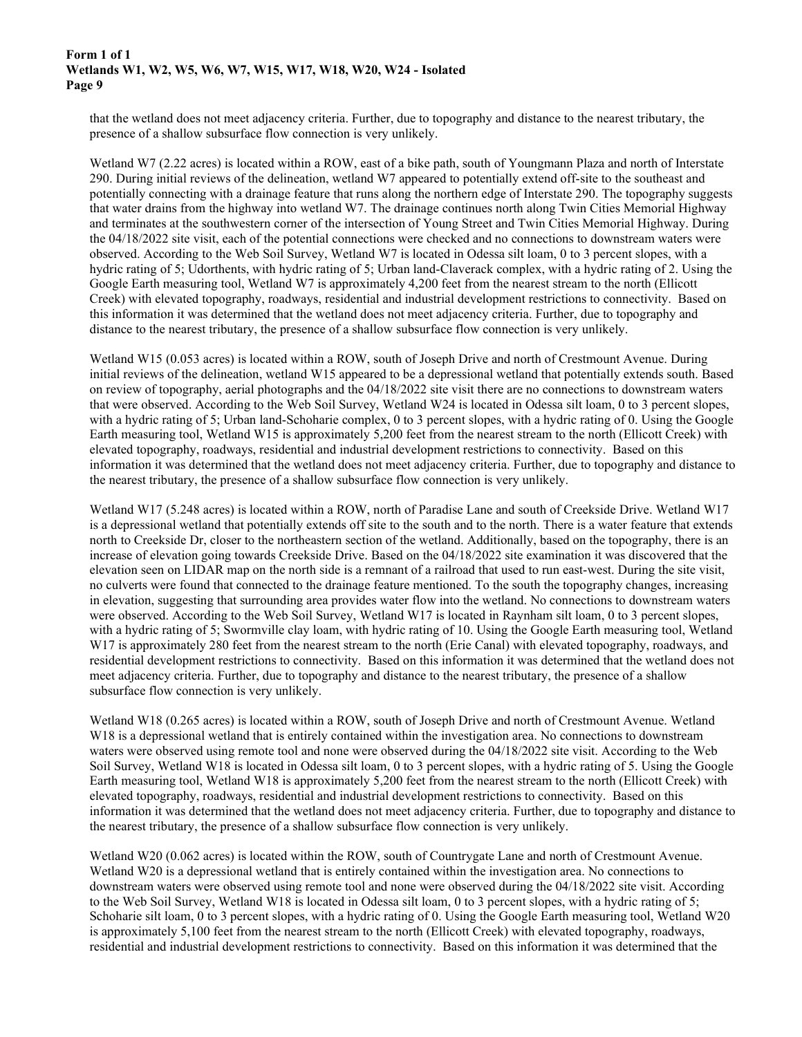that the wetland does not meet adjacency criteria. Further, due to topography and distance to the nearest tributary, the presence of a shallow subsurface flow connection is very unlikely.

Wetland W7 (2.22 acres) is located within a ROW, east of a bike path, south of Youngmann Plaza and north of Interstate 290. During initial reviews of the delineation, wetland W7 appeared to potentially extend off-site to the southeast and potentially connecting with a drainage feature that runs along the northern edge of Interstate 290. The topography suggests that water drains from the highway into wetland W7. The drainage continues north along Twin Cities Memorial Highway and terminates at the southwestern corner of the intersection of Young Street and Twin Cities Memorial Highway. During the 04/18/2022 site visit, each of the potential connections were checked and no connections to downstream waters were observed. According to the Web Soil Survey, Wetland W7 is located in Odessa silt loam, 0 to 3 percent slopes, with a hydric rating of 5; Udorthents, with hydric rating of 5; Urban land-Claverack complex, with a hydric rating of 2. Using the Google Earth measuring tool, Wetland W7 is approximately 4,200 feet from the nearest stream to the north (Ellicott Creek) with elevated topography, roadways, residential and industrial development restrictions to connectivity. Based on this information it was determined that the wetland does not meet adjacency criteria. Further, due to topography and distance to the nearest tributary, the presence of a shallow subsurface flow connection is very unlikely.

Wetland W15 (0.053 acres) is located within a ROW, south of Joseph Drive and north of Crestmount Avenue. During initial reviews of the delineation, wetland W15 appeared to be a depressional wetland that potentially extends south. Based on review of topography, aerial photographs and the 04/18/2022 site visit there are no connections to downstream waters that were observed. According to the Web Soil Survey, Wetland W24 is located in Odessa silt loam, 0 to 3 percent slopes, with a hydric rating of 5; Urban land-Schoharie complex, 0 to 3 percent slopes, with a hydric rating of 0. Using the Google Earth measuring tool, Wetland W15 is approximately 5,200 feet from the nearest stream to the north (Ellicott Creek) with elevated topography, roadways, residential and industrial development restrictions to connectivity. Based on this information it was determined that the wetland does not meet adjacency criteria. Further, due to topography and distance to the nearest tributary, the presence of a shallow subsurface flow connection is very unlikely.

Wetland W17 (5.248 acres) is located within a ROW, north of Paradise Lane and south of Creekside Drive. Wetland W17 is a depressional wetland that potentially extends off site to the south and to the north. There is a water feature that extends north to Creekside Dr, closer to the northeastern section of the wetland. Additionally, based on the topography, there is an increase of elevation going towards Creekside Drive. Based on the 04/18/2022 site examination it was discovered that the elevation seen on LIDAR map on the north side is a remnant of a railroad that used to run east-west. During the site visit, no culverts were found that connected to the drainage feature mentioned. To the south the topography changes, increasing in elevation, suggesting that surrounding area provides water flow into the wetland. No connections to downstream waters were observed. According to the Web Soil Survey, Wetland W17 is located in Raynham silt loam, 0 to 3 percent slopes, with a hydric rating of 5; Swormville clay loam, with hydric rating of 10. Using the Google Earth measuring tool, Wetland W17 is approximately 280 feet from the nearest stream to the north (Erie Canal) with elevated topography, roadways, and residential development restrictions to connectivity. Based on this information it was determined that the wetland does not meet adjacency criteria. Further, due to topography and distance to the nearest tributary, the presence of a shallow subsurface flow connection is very unlikely.

Wetland W18 (0.265 acres) is located within a ROW, south of Joseph Drive and north of Crestmount Avenue. Wetland W18 is a depressional wetland that is entirely contained within the investigation area. No connections to downstream waters were observed using remote tool and none were observed during the 04/18/2022 site visit. According to the Web Soil Survey, Wetland W18 is located in Odessa silt loam, 0 to 3 percent slopes, with a hydric rating of 5. Using the Google Earth measuring tool, Wetland W18 is approximately 5,200 feet from the nearest stream to the north (Ellicott Creek) with elevated topography, roadways, residential and industrial development restrictions to connectivity. Based on this information it was determined that the wetland does not meet adjacency criteria. Further, due to topography and distance to the nearest tributary, the presence of a shallow subsurface flow connection is very unlikely.

Wetland W20 (0.062 acres) is located within the ROW, south of Countrygate Lane and north of Crestmount Avenue. Wetland W20 is a depressional wetland that is entirely contained within the investigation area. No connections to downstream waters were observed using remote tool and none were observed during the 04/18/2022 site visit. According to the Web Soil Survey, Wetland W18 is located in Odessa silt loam, 0 to 3 percent slopes, with a hydric rating of 5; Schoharie silt loam, 0 to 3 percent slopes, with a hydric rating of 0. Using the Google Earth measuring tool, Wetland W20 is approximately 5,100 feet from the nearest stream to the north (Ellicott Creek) with elevated topography, roadways, residential and industrial development restrictions to connectivity. Based on this information it was determined that the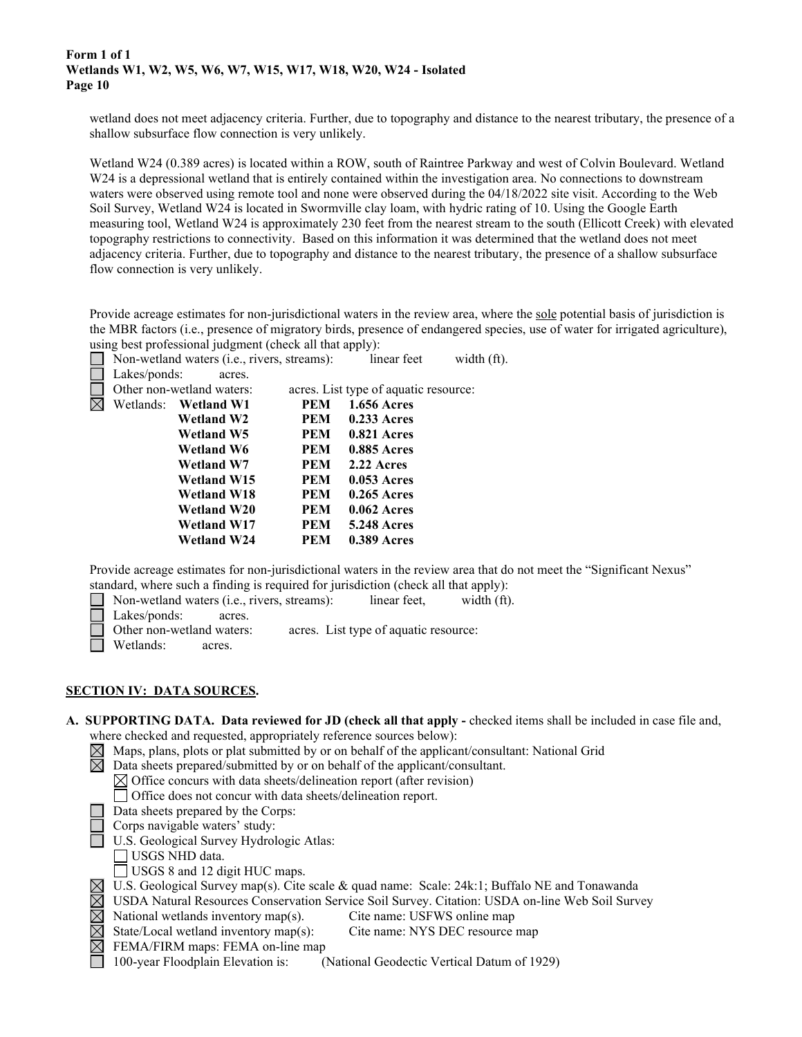wetland does not meet adjacency criteria. Further, due to topography and distance to the nearest tributary, the presence of a shallow subsurface flow connection is very unlikely.

Wetland W24 (0.389 acres) is located within a ROW, south of Raintree Parkway and west of Colvin Boulevard. Wetland W24 is a depressional wetland that is entirely contained within the investigation area. No connections to downstream waters were observed using remote tool and none were observed during the 04/18/2022 site visit. According to the Web Soil Survey, Wetland W24 is located in Swormville clay loam, with hydric rating of 10. Using the Google Earth measuring tool, Wetland W24 is approximately 230 feet from the nearest stream to the south (Ellicott Creek) with elevated topography restrictions to connectivity. Based on this information it was determined that the wetland does not meet adjacency criteria. Further, due to topography and distance to the nearest tributary, the presence of a shallow subsurface flow connection is very unlikely.

Provide acreage estimates for non-jurisdictional waters in the review area, where the sole potential basis of jurisdiction is the MBR factors (i.e., presence of migratory birds, presence of endangered species, use of water for irrigated agriculture), using best professional judgment (check all that apply):



|             | Non-wetland waters (i.e., rivers, streams): |                           | linear feet | width (ft).                           |  |
|-------------|---------------------------------------------|---------------------------|-------------|---------------------------------------|--|
|             | Lakes/ponds:                                | acres.                    |             |                                       |  |
|             |                                             | Other non-wetland waters: |             | acres. List type of aquatic resource: |  |
| $\boxtimes$ |                                             | Wetlands: Wetland W1      | <b>PEM</b>  | <b>1.656 Acres</b>                    |  |
|             |                                             | <b>Wetland W2</b>         | <b>PEM</b>  | $0.233$ Acres                         |  |
|             |                                             | <b>Wetland W5</b>         | <b>PEM</b>  | $0.821$ Acres                         |  |
|             |                                             | <b>Wetland W6</b>         | <b>PEM</b>  | <b>0.885 Acres</b>                    |  |
|             |                                             | Wetland W7                | <b>PEM</b>  | 2.22 Acres                            |  |
|             |                                             | Wetland W15               | <b>PEM</b>  | $0.053$ Acres                         |  |
|             |                                             | <b>Wetland W18</b>        | <b>PEM</b>  | $0.265$ Acres                         |  |
|             |                                             | <b>Wetland W20</b>        | PEM         | $0.062$ Acres                         |  |
|             |                                             | <b>Wetland W17</b>        | <b>PEM</b>  | <b>5.248 Acres</b>                    |  |
|             |                                             | <b>Wetland W24</b>        | <b>PEM</b>  | <b>0.389 Acres</b>                    |  |
|             |                                             |                           |             |                                       |  |

Provide acreage estimates for non-jurisdictional waters in the review area that do not meet the "Significant Nexus" standard, where such a finding is required for jurisdiction (check all that apply):

- Non-wetland waters (i.e., rivers, streams):linear feet,width (ft).
- Lakes/ponds: acres.
- Other non-wetland waters: acres. List type of aquatic resource:
- Wetlands: acres.
- 

### **SECTION IV: DATA SOURCES.**

```
A. SUPPORTING DATA. Data reviewed for JD (check all that apply - checked items shall be included in case file and, 
    where checked and requested, appropriately reference sources below):
```
- $\boxtimes$  Maps, plans, plots or plat submitted by or on behalf of the applicant/consultant: National Grid
- $\boxtimes$  Data sheets prepared/submitted by or on behalf of the applicant/consultant.
	- $\boxtimes$  Office concurs with data sheets/delineation report (after revision)
	- Office does not concur with data sheets/delineation report.
	- Data sheets prepared by the Corps:
	- Corps navigable waters' study:
	- U.S. Geological Survey Hydrologic Atlas:
	- USGS NHD data.
	- $\Box$  USGS 8 and 12 digit HUC maps.
- $\boxtimes$  U.S. Geological Survey map(s). Cite scale & quad name: Scale: 24k:1; Buffalo NE and Tonawanda
- USDA Natural Resources Conservation Service Soil Survey. Citation: USDA on-line Web Soil Survey
	- National wetlands inventory map(s). Cite name: USFWS online map
- $\boxtimes$ State/Local wetland inventory map(s): Cite name: NYS DEC resource map
	- FEMA/FIRM maps: FEMA on-line map
		- 100-year Floodplain Elevation is: (National Geodectic Vertical Datum of 1929)